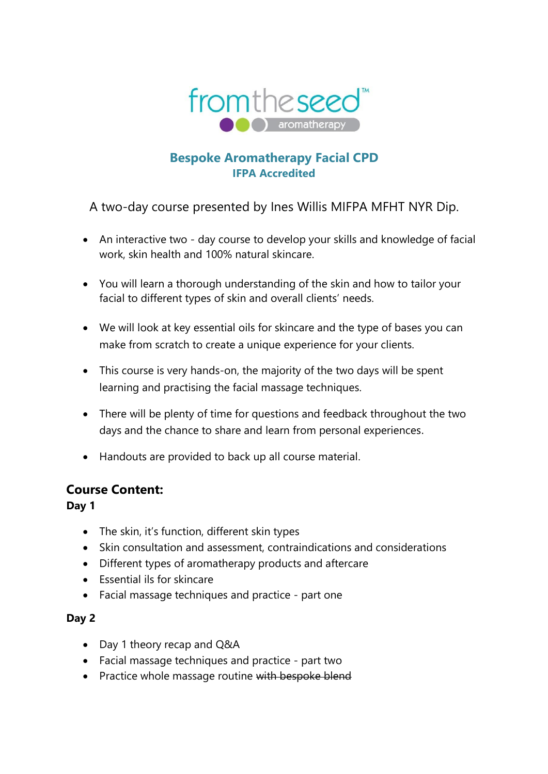

# **Bespoke Aromatherapy Facial CPD IFPA Accredited**

A two-day course presented by Ines Willis MIFPA MFHT NYR Dip.

- An interactive two day course to develop your skills and knowledge of facial work, skin health and 100% natural skincare.
- You will learn a thorough understanding of the skin and how to tailor your facial to different types of skin and overall clients' needs.
- We will look at key essential oils for skincare and the type of bases you can make from scratch to create a unique experience for your clients.
- This course is very hands-on, the majority of the two days will be spent learning and practising the facial massage techniques.
- There will be plenty of time for questions and feedback throughout the two days and the chance to share and learn from personal experiences.
- Handouts are provided to back up all course material.

## **Course Content:**

**Day 1** 

- The skin, it's function, different skin types
- Skin consultation and assessment, contraindications and considerations
- Different types of aromatherapy products and aftercare
- Essential ils for skincare
- Facial massage techniques and practice part one

### **Day 2**

- Day 1 theory recap and Q&A
- Facial massage techniques and practice part two
- Practice whole massage routine with bespoke blend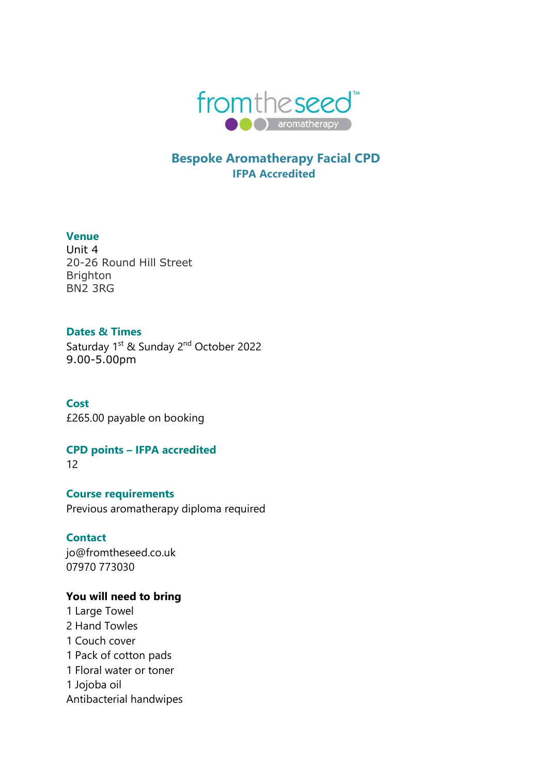

## **Bespoke Aromatherapy Facial CPD IFPA Accredited**

#### **Venue**

Unit 4 20-26 Round Hill Street Brighton BN2 3RG

#### **Dates & Times**

Saturday 1<sup>st</sup> & Sunday 2<sup>nd</sup> October 2022 9.00-5.00pm

**Cost**  £265.00 payable on booking

**CPD points – IFPA accredited** 

12

**Course requirements** Previous aromatherapy diploma required

**Contact**  jo@fromtheseed.co.uk 07970 773030

### **You will need to bring**

1 Large Towel 2 Hand Towles 1 Couch cover 1 Pack of cotton pads 1 Floral water or toner 1 Jojoba oil Antibacterial handwipes